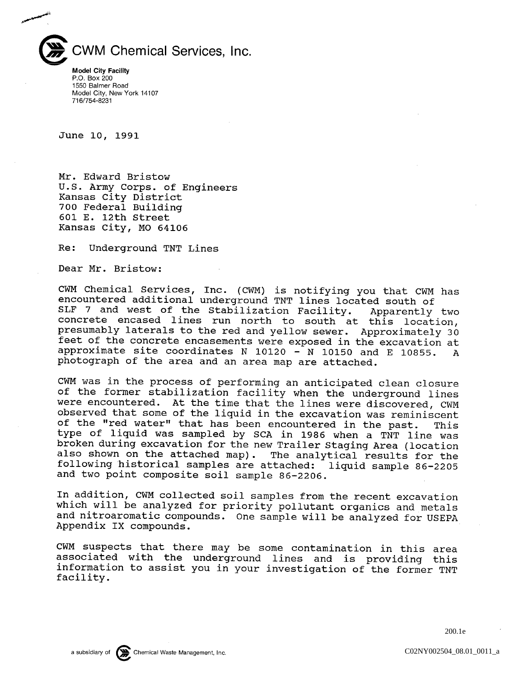

Model City Facility P.O Box 200 1550 Balmer Road Model City, New York 14107 716/754-8231

June 10, 1991

Mr. Edward Bristow U.S. Army Corps. of Engineers Kansas City District <sup>700</sup> Federal Building 601 E. 12th Street Kansas City, MO 64106

Re: Underground TNT Lines

Dear Mr. Bristow:

CWM Chemical Services, Inc. (CWM) is notifying you that CWM has encountered additional underground TNT lines located south of SLF 7 and west of the Stabilization Facility. Apparently two concrete encased lines run north to south at this location presumably laterals to the red and yellow sewer. Approximately 30 feet of the concrete encasements were exposed in the excavation at approximate site coordinates  $N$  10120 -  $N$  10150 and E 10855. photograph of the area and an area map are attached

CWM was in the process of performing an anticipated clean closure of the former stabilization facility when the underground lines were encountered. At the time that the lines were discovered, CWM observed that some of the liquid in the excavation was reminiscent of the "red water" that has been encountered in the past. This type of liquid was sampled by SCA in 1986 when a TNT line was broken during excavation for the new Trailer Staging Area (location<br>also shown on the attached map). The analytical results for the The analytical results for the following historical samples are attached: liquid sample 86-2205 and two point composite soil sample 86-2206

In addition, CWM collected soil samples from the recent excavation which will be analyzed for  $\text{priority}$  pollutant organics and metals and nitroaromatic compounds. One sample will be analyzed for USEPA Appendix IX compounds

CWM suspects that there may be some contamination in this area associated with the underground lines and is providing this associated with the underground fines and is providing this<br>information to assist you in your investigation of the former TNT informati<br>facility.

200.1e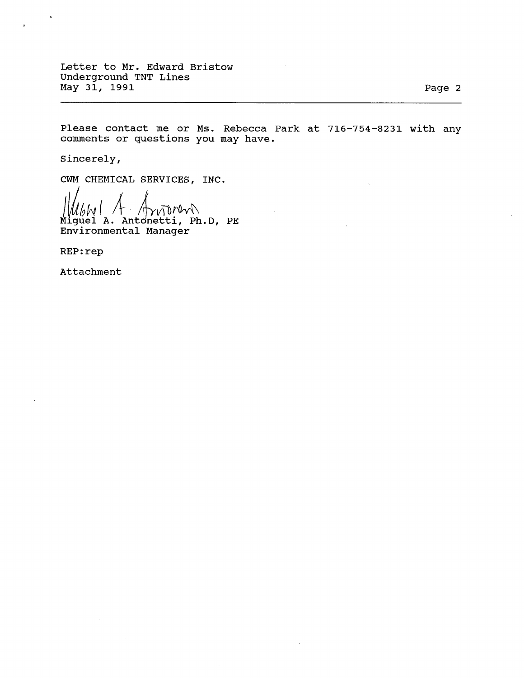Letter to Mr. Edward Bristow Underground TNT Lines May 31, 1991 **Page 2** 

Please contact me or Ms. Rebecca Park at 716-754-8231 with any comments or questions you may have

Sincerely,

CWM CHEMICAL SERVICES, INC.

 $\frac{1}{2}$   $\frac{1}{2}$   $\frac{1}{2}$   $\frac{1}{2}$   $\frac{1}{2}$  a. Antonetti, Ph.D, PE

Environmental Manager

REP rep

Attachment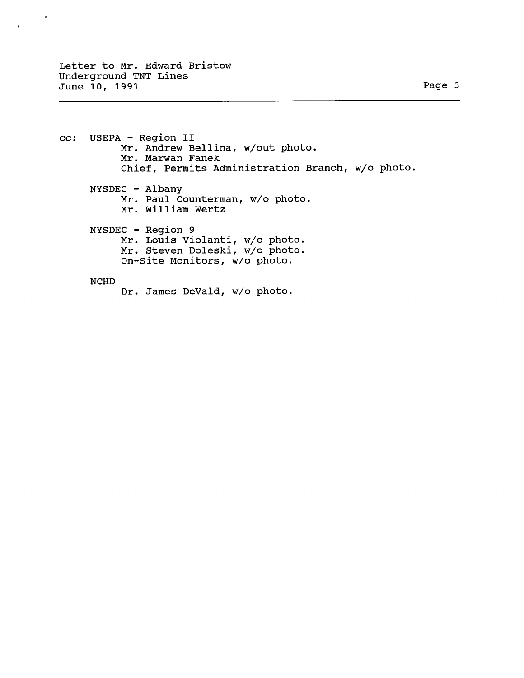cc: USEPA - Region II Mr. Andrew Bellina, w/out photo. Mr. Marwan Fanek Chief, Permits Administration Branch, w/o photo. NYSDEC - Albany Mr. Paul Counterman, w/o photo. Mr. William Wertz NYSDEC - Region 9 Mr. Louis Violanti, w/o photo. Mr. Steven Doleski, w/o photo. On-Site Monitors, w/o photo. NCHD

Dr. James DeVald, w/o photo.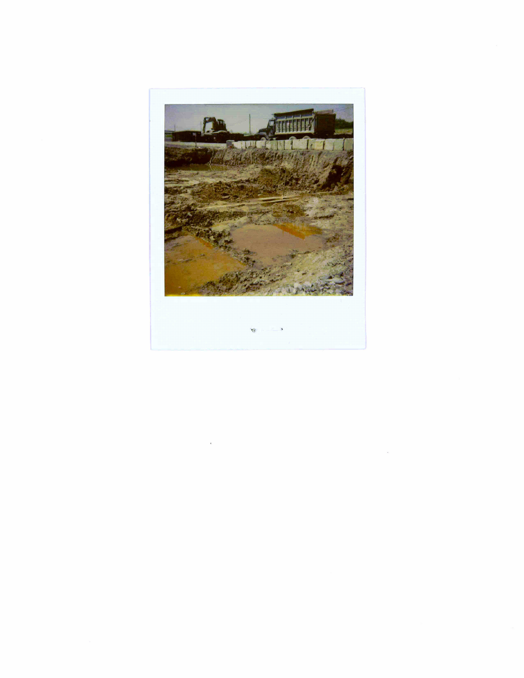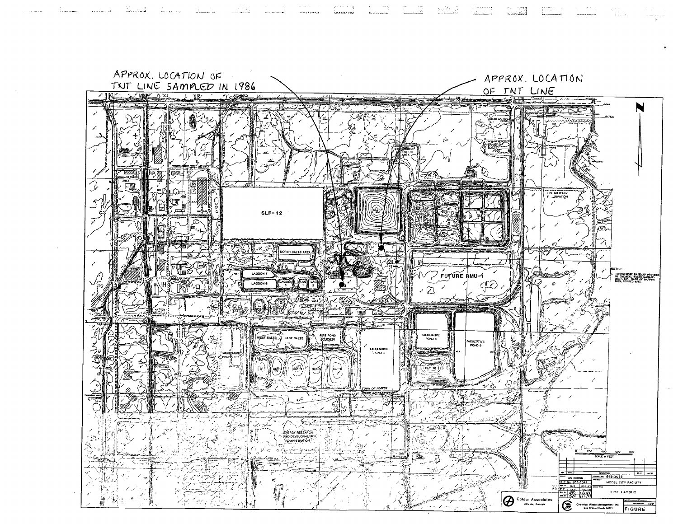

.<br>Nata wala ese

de l

Print of

 $\begin{array}{l} \left\langle \phi_{\alpha} \right\rangle_{\alpha}^{(k+1)} \\ \left\langle \phi_{\alpha} \right\rangle_{\alpha}^{(k+1)} \end{array}$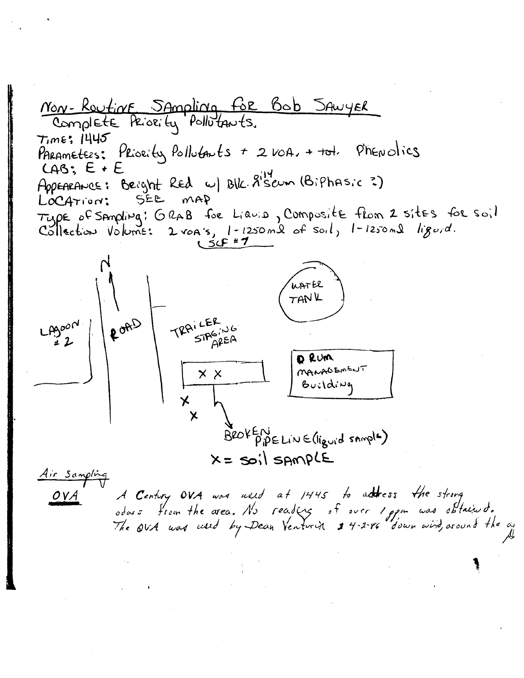$\Delta \sim 1$ 

 $\label{eq:2.1} \frac{1}{\sqrt{2\pi}}\int_{0}^{\pi} \frac{1}{\sqrt{2\pi}}\,d\mu_{\mu}$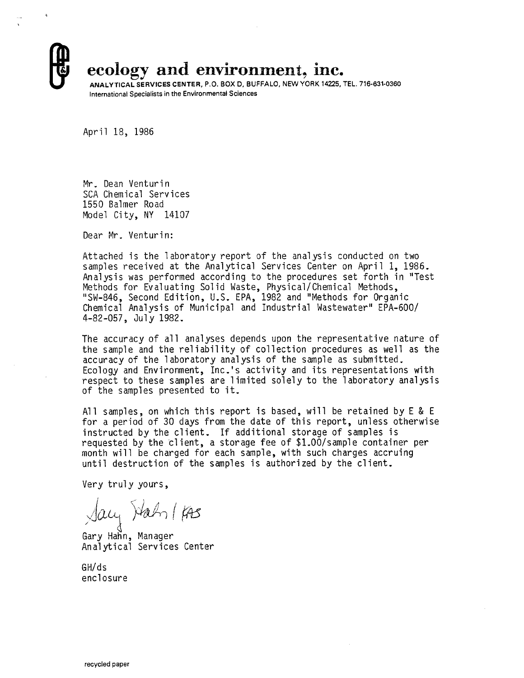

 $\hat{X}$ 

# ecology and environment, inc.

ANALYTICAL SERVICES CENTER, P.O. BOX D, BUFFALO, NEW YORK 14225, TEL. 716-631-0360 International Specialists in the Environmental Sciences

April 18, 1986

Mr. Dean Venturin SCA Chemical Services 1550 Balmer Road Model City, NY 14107

Dear Mr. Venturin:

Attached is the laboratory report of the analysis conducted on two samples received at the Analytical Services Center on April 1, 1986. Analysis was performed according to the procedures set forth in Test Methods for Evaluating Solid Waste, Physical/Chemical Methods, "SW-846, Second Edition, U.S. EPA, 1982 and "Methods for Organic Chemical Analysis of Municipal and Industrial Wastewater" EPA-600/ 4-82-057, July 1982.

The accuracy of all analyses depends upon the representative nature of the sample and the reliability of collection procedures as well as the accuracy of the laboratory analysis of the sample as submitted Ecology and Environment, Inc.'s activity and its representations with respect to these samples are limited solely to the laboratory analysis of the samples presented to it.

All samples, on which this report is based, will be retained by E & E for a period of 30 days from the date of this report, unless otherwise instructed by the client. If additional storage of samples is requested by the client, a storage fee of  $$1.00/s$ ample container per month will be charged for each sample, with such charges accruing until destruction of the samples is authorized by the client.

Very truly yours

Say Han / FAS

Gary Hahn, Manager Analytical Services Center

 $GH/ds$ enclosure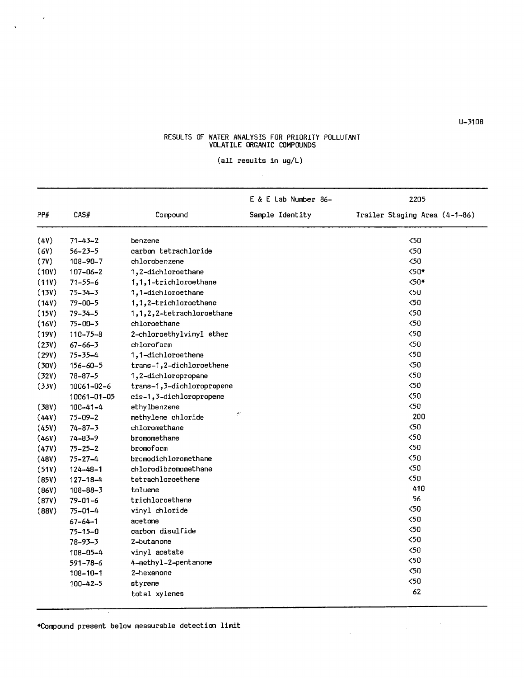#### RESULTS OF WATER ANALYSIS FOR PRIORITY POLLUTAN VOLATILE ORGANIC COMPOUNDS

all results in ug/L  $\sim 10$ 

|       |                |                           | $E$ & $E$ Lab Number 86- | 2205                          |
|-------|----------------|---------------------------|--------------------------|-------------------------------|
| PP#   | CAS#           | Compound                  | Sample Identity          | Trailer Staging Area (4-1-86) |
| (4V)  | $71 - 43 - 2$  | benzene                   |                          | <50                           |
| (6V)  | $56 - 23 - 5$  | carbon tetrachloride      |                          | $50$                          |
| (7V)  | $108 - 90 - 7$ | chlorobenzene             |                          | 50 <sub>o</sub>               |
| (10V) | $107 - 06 - 2$ | 1,2-dichloroethane        |                          | $50*$                         |
| (11V) | $71 - 55 - 6$  | 1,1,1-trichloroethane     |                          | $50*$                         |
| (13V) | $75 - 34 - 3$  | 1,1-dichloroethane        |                          | $50$                          |
| (14V) | $79 - 00 - 5$  | 1,1,2-trichloroethane     |                          | $50$                          |
| (15V) | $79 - 34 - 5$  | 1,1,2,2-tetrachloroethane |                          | $50$                          |
| (16V) | $75 - 00 - 3$  | chloroethane              |                          | $50$                          |
| (19V) | $110 - 75 - 8$ | 2-chloroethylvinyl ether  |                          | 50                            |
| (23V) | $67 - 66 - 3$  | chloroform                |                          | 50                            |
| (29V) | $75 - 35 - 4$  | 1,1-dichloroethene        |                          | 50                            |
| (30V) | $156 - 60 - 5$ | trans-1,2-dichloroethene  |                          | 50                            |
| (32V) | $78 - 87 - 5$  | 1,2-dichloropropane       |                          | 50                            |
| (33V) | 10061-02-6     | trans-1,3-dichloropropene |                          | $50$                          |
|       | 10061-01-05    | cis-1,3-dichloropropene   |                          | 50                            |
| (38V) | $100 - 41 - 4$ | ethylbenzene              |                          | 50                            |
| (44V) | $75 - 09 - 2$  | Š.<br>methylene chloride  |                          | 200                           |
| (45V) | $74 - 87 - 3$  | chloromethane             |                          | 50 <sub>0</sub>               |
| (46V) | $74 - 83 - 9$  | bromomethane              |                          | 50                            |
| (47V) | $75 - 25 - 2$  | bromoform                 |                          | 50                            |
| (48V) | $75 - 27 - 4$  | bromodichloromethane      |                          | <50                           |
| (51V) | $124 - 48 - 1$ | chlorodibromomethane      |                          | $50$                          |
| (85V) | $127 - 18 - 4$ | tetrachloroethene         |                          | 50 <sub>2</sub>               |
| (86V) | $108 - 88 - 3$ | toluene                   |                          | 410                           |
| (87V) | $79 - 01 - 6$  | trichloroethene           |                          | 56                            |
| (88V) | $75 - 01 - 4$  | vinyl chloride            |                          | 50                            |
|       | $67 - 64 - 1$  | acetone                   |                          | $50$                          |
|       | $75 - 15 - 0$  | carbon disulfide          |                          | <50                           |
|       | $78 - 93 - 3$  | 2-butanone                |                          | <50                           |
|       | 108-05-4       | vinyl acetate             |                          | $50$                          |
|       | $591 - 78 - 6$ | 4-methyl-2-pentanone      |                          | 50                            |
|       | $108 - 10 - 1$ | 2-hexanone                |                          | $50$                          |
|       | $100 - 42 - 5$ | styrene                   |                          | $50$                          |
|       |                | total xylenes             |                          | 62                            |
|       |                |                           |                          |                               |

Compound present below measurable detection limit

 $\ddot{\phantom{a}}$ 

 $\ddot{\phantom{0}}$ 

U-3108

 $\label{eq:2.1} \frac{1}{\sqrt{2\pi}}\int_{0}^{\infty}\frac{1}{\sqrt{2\pi}}\left(\frac{1}{\sqrt{2\pi}}\right)^{2\alpha} \frac{1}{\sqrt{2\pi}}\int_{0}^{\infty}\frac{1}{\sqrt{2\pi}}\left(\frac{1}{\sqrt{2\pi}}\right)^{2\alpha} \frac{1}{\sqrt{2\pi}}\frac{1}{\sqrt{2\pi}}\int_{0}^{\infty}\frac{1}{\sqrt{2\pi}}\frac{1}{\sqrt{2\pi}}\frac{1}{\sqrt{2\pi}}\frac{1}{\sqrt{2\pi}}\frac{1}{\sqrt{2\pi}}\frac{1}{\sqrt{$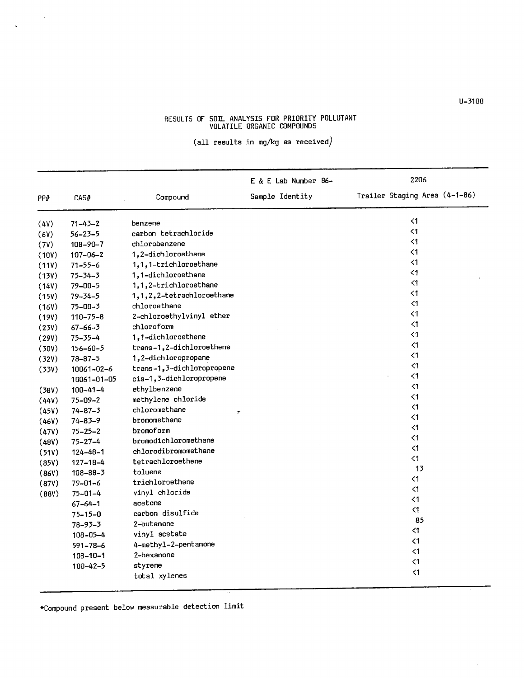#### RESULTS OF SOIL ANALYSIS FOR PRIORITY POLLUTAN VOLATILE ORGANIC COMPOUNDS

(all results in mg/kg as received)

|       |                |                           | $E$ & $E$ Lab Number 86- | 2206                          |
|-------|----------------|---------------------------|--------------------------|-------------------------------|
| PP#   | CASF           | Compound                  | Sample Identity          | Trailer Staging Area (4-1-86) |
| (4V)  | $71 - 43 - 2$  | benzene                   |                          | $\leq 1$                      |
| (6V)  | $56 - 23 - 5$  | carbon tetrachloride      |                          | $\leq 1$                      |
| (7V)  | $108 - 90 - 7$ | chlorobenzene             |                          | $\leq 1$                      |
| (10V) | $107 - 06 - 2$ | 1,2-dichloroethane        |                          | $\leq 1$                      |
| (11V) | $71 - 55 - 6$  | 1,1,1-trichloroethane     |                          | $\langle$ 1                   |
| (13V) | $75 - 34 - 3$  | 1,1-dichloroethane        |                          | $\leq 1$                      |
| (14V) | $79 - 00 - 5$  | 1,1,2-trichloroethane     |                          | $\leq 1$                      |
| (15V) | $79 - 34 - 5$  | 1,1,2,2-tetrachloroethane |                          | $\leq 1$                      |
| (16V) | $75 - 00 - 3$  | chloroethane              |                          | $\leq 1$                      |
| (19V) | $110 - 75 - 8$ | 2-chloroethylvinyl ether  |                          | $\leq 1$                      |
| (23V) | $67 - 66 - 3$  | chloroform                |                          | $\leq$ 1                      |
| (29V) | $75 - 35 - 4$  | 1,1-dichloroethene        |                          | $\leq 1$                      |
| (30V) | $156 - 60 - 5$ | trans-1,2-dichloroethene  |                          | $\leq 1$                      |
| (32V) | $78 - 87 - 5$  | 1,2-dichloropropane       |                          | $\leq 1$                      |
| (33V) | 10061-02-6     | trans-1,3-dichloropropene |                          | $\triangleleft$               |
|       | 10061-01-05    | cis-1,3-dichloropropene   |                          | $\leq 1$                      |
| (38V) | $100 - 41 - 4$ | ethylbenzene              |                          | $\leq$ 1                      |
| (44V) | $75 - 09 - 2$  | methylene chloride        |                          | $\leq 1$                      |
| (45V) | $74 - 87 - 3$  | chloromethane<br>÷        |                          | $\leq 1$                      |
| (46V) | $74 - 83 - 9$  | bromomethane              |                          | $\leq 1$                      |
| (47V) | $75 - 25 - 2$  | bromoform                 |                          | $\leq 1$                      |
| (48V) | $75 - 27 - 4$  | bromodichloromethane      |                          | $\leq 1$                      |
| (51V) | $124 - 48 - 1$ | chlorodibromomethane      |                          | $\leq$ 1                      |
| (85V) | $127 - 18 - 4$ | tetrachloroethene         |                          | $\leq 1$                      |
| (86V) | $108 - 88 - 3$ | toluene                   |                          | 13                            |
| (87V) | $79 - 01 - 6$  | trichloroethene           |                          | $\leq 1$                      |
| (88V) | $75 - 01 - 4$  | vinyl chloride            |                          | $\leq 1$                      |
|       | $67 - 64 - 1$  | acetone                   |                          | $\leq 1$                      |
|       | $75 - 15 - 0$  | carbon disulfide          |                          | $\langle 1$                   |
|       | $78 - 93 - 3$  | 2-butanone                |                          | 85                            |
|       | 108-05-4       | vinyl acetate             |                          | $\leq 1$                      |
|       | $591 - 78 - 6$ | 4-methyl-2-pentanone      |                          | $\leq 1$                      |
|       | $108 - 10 - 1$ | 2-hexanone                |                          | $\leq 1$                      |
|       | $100 - 42 - 5$ | styrene                   |                          | $\leq 1$                      |
|       |                | total xylenes             |                          | $\leq 1$                      |

Compound present below measurable detection limit

 $\sim$   $\alpha$ 

 $\sim$ 

 $\bar{\mathbf{a}}$ 

 $\hat{\boldsymbol{\beta}}$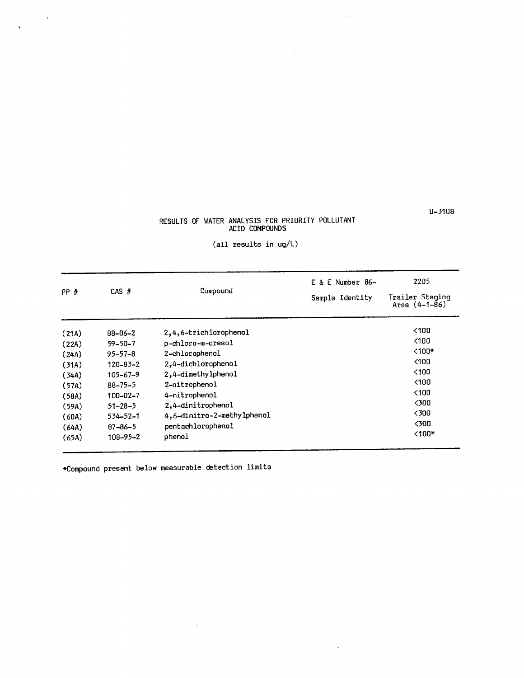#### RESULTS OF WATER ANALYSIS FOR PRIORITY POLLUTAN ACID COMPOUNDS

 $\sim$ 

 $\hat{\mathcal{A}}$ 

all results in ug/L

| $PP$ # | $CAS$ #        | Compound                   | $E$ & $E$ Number 86-<br>Sample Identity | 2205<br>Trailer Staging<br>Area (4-1-86) |
|--------|----------------|----------------------------|-----------------------------------------|------------------------------------------|
| (21A)  | $88 - 06 - 2$  | 2.4.6-trichlorophenol      |                                         | $\leq 100$                               |
| (22A)  | $59 - 50 - 7$  | p-chloro-m-cresol          |                                         | <100                                     |
| (24A)  | $95 - 57 - 8$  | 2-chlorophenol             |                                         | $<100*$                                  |
| (31A)  | 120-83-2       | 2.4-dichlorophenol         |                                         | $100$                                    |
| (34A)  | 105–67–9       | 2,4-dimethylphenol         |                                         | $100$                                    |
| (57A)  | $88 - 75 - 5$  | 2-nitrophenol              |                                         | $100$                                    |
| (58A)  | 100-02-7       | 4-nitrophenol              |                                         | $100$                                    |
| (59A)  | $51 - 28 - 5$  | 2,4-dinitrophenol          |                                         | $500$                                    |
| (60A)  | 534–52–1       | 4.6-dinitro-2-methylphenol |                                         | $500$                                    |
| (64A)  | $87 - 86 - 5$  | pentachlorophenol          |                                         | <300                                     |
| (65A)  | $108 - 95 - 2$ | phenol                     |                                         | $< 100*$                                 |

Compound present below measurable detection limits

 $\sim$ 

 $\hat{\mathbf{v}}$ 

 $\ddot{\phantom{a}}$ 

U-3108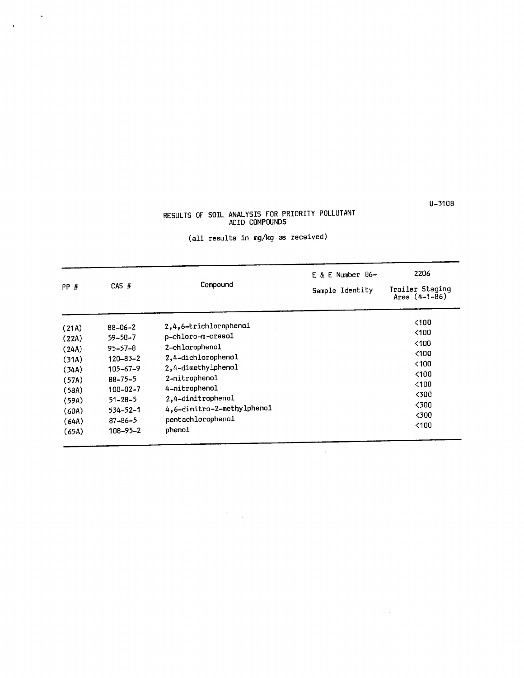#### RESULTS OF SOIL ANALYSIS FOR PRIORITY POLLUTAN ACID COMPOUND

 $\mathcal{O}(\mathbf{e})$ 

 $\sim$ 

all results in mg/kg as received

| PP#   | CAS #          | Compound                   | $E & E$ Number 86-<br>Sample Identity | 2206<br>Trailer Staging<br>Area (4-1-86) |
|-------|----------------|----------------------------|---------------------------------------|------------------------------------------|
| (21A) | $88 - 06 - 2$  | 2,4,6-trichlorophenol      |                                       | $100$                                    |
| (22A) | $59 - 50 - 7$  | p-chloro-m-cresol          |                                       | $100$                                    |
| (24A) | $95 - 57 - 8$  | 2-chlorophenol             |                                       | $100$                                    |
| (31A) | $120 - 83 - 2$ | 2,4-dichlorophenol         |                                       | $100$                                    |
| (34A) | $105 - 67 - 9$ | 2,4-dimethylphenol         |                                       | $100$                                    |
| (57A) | $88 - 75 - 5$  | 2-nitrophenol              |                                       | $100$                                    |
| (58A) | 100-02-7       | 4-nitrophenol              |                                       | $100$                                    |
| (59A) | $51 - 28 - 5$  | 2,4-dinitrophenol          |                                       | $500$                                    |
| (60A) | $534 - 52 - 1$ | 4,6-dinitro-2-methylphenol |                                       | ≺300                                     |
| (64A) | $87 - 86 - 5$  | pentachlorophenol          |                                       | $500$                                    |
| (65A) | 108-95-2       | phenol                     |                                       | $100$                                    |

 $\label{eq:2} \frac{1}{\sqrt{2}}\sum_{i=1}^n\frac{1}{\sqrt{2}}\sum_{i=1}^n\frac{1}{\sqrt{2}}\sum_{i=1}^n\frac{1}{\sqrt{2}}\sum_{i=1}^n\frac{1}{\sqrt{2}}\sum_{i=1}^n\frac{1}{\sqrt{2}}\sum_{i=1}^n\frac{1}{\sqrt{2}}\sum_{i=1}^n\frac{1}{\sqrt{2}}\sum_{i=1}^n\frac{1}{\sqrt{2}}\sum_{i=1}^n\frac{1}{\sqrt{2}}\sum_{i=1}^n\frac{1}{\sqrt{2}}\sum_{i=1}^n\frac{1$ 

 $\sim 10^6$ 

 $\sim 10^7$ 

 $U - 3108$ 

 $\sim$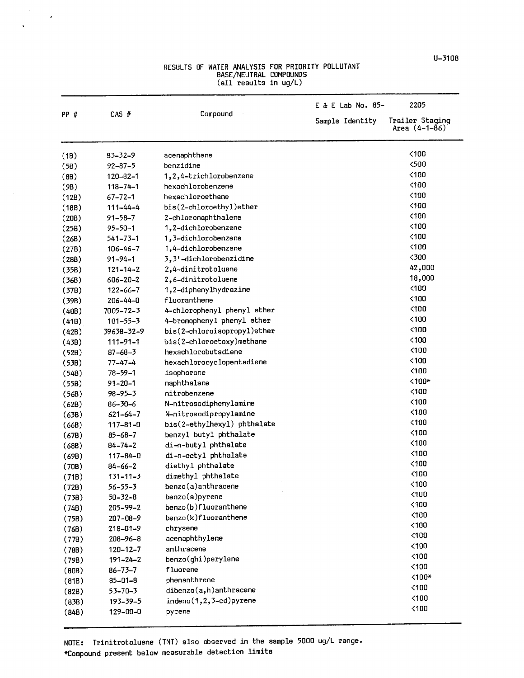## RESULTS OF WATER ANALYSIS FOR PRIORITY POLLUTAN BASE/NEUTRAL COMPOUNDS<br>(all results in ug/L)

. . . Li

 $\sim$ 

 $\ddot{\phantom{0}}$ 

 $\overline{\phantom{a}}$ 

|       |                |                             | $E$ & $E$ Lab No. 85- | 2205                             |
|-------|----------------|-----------------------------|-----------------------|----------------------------------|
| PP #  | $CAS$ #        | Compound                    | Sample Identity       | Trailer Staging<br>Area (4-1-86) |
| (1B)  | $83 - 32 - 9$  | acenaphthene                |                       | $100$                            |
| (5B)  | $92 - 87 - 5$  | benzidine                   |                       | $500$                            |
| (8B)  | $120 - 82 - 1$ | 1,2,4-trichlorobenzene      |                       | $100$                            |
| (9B)  | $118 - 74 - 1$ | hexachlorobenzene           |                       | $100$                            |
| (12B) | $67 - 72 - 1$  | hexachloroethane            |                       | $100$                            |
| (18B) | $111 - 44 - 4$ | bis(2-chloroethyl)ether     |                       | $100$                            |
| (20B) | $91 - 58 - 7$  | 2-chloronaphthalene         |                       | $100$                            |
| (25B) | $95 - 50 - 1$  | 1,2-dichlorobenzene         |                       | $100$                            |
| (26B) | $541 - 73 - 1$ | 1,3-dichlorobenzene         |                       | $100$                            |
| (27B) | $106 - 46 - 7$ | 1,4-dichlorobenzene         |                       | $100$                            |
| (28B) | $91 - 94 - 1$  | 3,3'-dichlorobenzidine      |                       | $500$                            |
| (35B) | $121 - 14 - 2$ | 2,4-dinitrotoluene          |                       | 42,000                           |
| (36B) | 606-20-2       | 2,6-dinitrotoluene          |                       | 18,000                           |
| (37B) | $122 - 66 - 7$ | 1,2-diphenylhydrazine       |                       | $100$                            |
| (39B) | $206 - 44 - 0$ | fluoranthene                |                       | $100$                            |
| (40B) | 7005-72-3      | 4-chlorophenyl phenyl ether |                       | $100$                            |
| (41B) | $101 - 55 - 3$ | 4-bromophenyl phenyl ether  |                       | $100$                            |
| (42B) | 39638-32-9     | bis(2-chloroisopropyl)ether |                       | $100$                            |
| (43B) | $111 - 91 - 1$ | bis(2-chloroetoxy)methane   |                       | < 100                            |
| (52B) | $87 - 68 - 3$  | hexachlorobutadiene         |                       | $100$                            |
| (53B) | $77 - 47 - 4$  | hexachlorocyclopentadiene   |                       | $100$                            |
| (54B) | 78-59-1        | isophorone                  |                       | < 100                            |
| (55B) | $91 - 20 - 1$  | naphthalene                 |                       | $< 100*$                         |
| (56B) | $98 - 95 - 3$  | nitrobenzene                |                       | $100$                            |
| (62B) | $86 - 30 - 6$  | N-nitrosodiphenylamine      |                       | $100$                            |
| (63B) | $621 - 64 - 7$ | N-nitrosodipropylamine      |                       | $100$                            |
| (66B) | $117 - 81 - 0$ | bis(2-ethylhexyl) phthalate |                       | $100$                            |
| (67B) | $85 - 68 - 7$  | benzyl butyl phthalate      |                       | $100$                            |
| (68B) | $84 - 74 - 2$  | di-n-butyl phthalate        |                       | $100$                            |
| (69B) | 117-84-0       | di-n-octyl phthalate        |                       | $100$                            |
| (70B) | $84 - 66 - 2$  | diethyl phthalate           |                       | $100$                            |
| (71B) | $131 - 11 - 3$ | dimethyl phthalate          |                       | $100$                            |
| (72B) | $56 - 55 - 3$  | benzo(a)anthracene          |                       | $100$                            |
| (73B) | $50 - 32 - 8$  | benzo(a)pyrene              |                       | $100$                            |
| (74B) | 205-99-2       | benzo(b)fluoranthene        |                       | $100$                            |
| (75B) | 207-08-9       | benzo(k)fluoranthene        |                       | < 100                            |
| (76B) | $218 - 01 - 9$ | chrysene                    |                       | $100$                            |
|       | $208 - 96 - 8$ | acenaphthylene              |                       | < 100                            |
| (77B) | $120 - 12 - 7$ | anthracene                  |                       | < 100                            |
| (78B) | $191 - 24 - 2$ | benzo(ghi)perylene          |                       | $100$                            |
| (79B) | $86 - 73 - 7$  | fluorene                    |                       | $100$                            |
| (80B) | $85 - 01 - 8$  | phenanthrene                |                       | $< 100*$                         |
| (81B) |                | dibenzo(a,h)anthracene      |                       | $100$                            |
| (82B) | $53 - 70 - 3$  | indeno(1,2,3-cd)pyrene      |                       | < 100                            |
| (83B) | 193-39-5       |                             |                       | $100$                            |
| (84B) | 129-00-0       | pyrene                      |                       |                                  |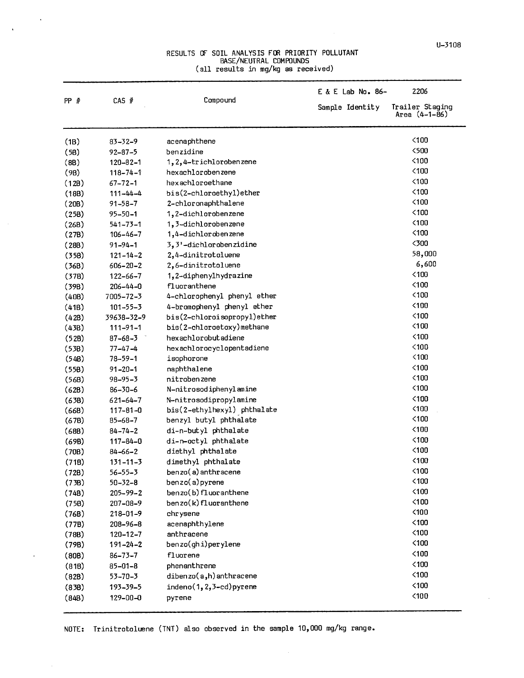$\sim$ 

## RESULTS OF SOIL ANALYSIS FOR PRIORITY POLLUTAN BASE/NEUTRAL COMPOUNDS<br>all results in mg/kg as receive)

 $\overline{\phantom{a}}$ 

 $\overline{\phantom{a}}$ 

 $\bar{z}$ 

 $\bar{\mathbf{r}}$ 

|       |                |                             | E & E Lab No. 86- | 2206                             |
|-------|----------------|-----------------------------|-------------------|----------------------------------|
| PP #  | $CAS$ #        | Compound                    | Sample Identity   | Trailer Staging<br>Area (4-1-86) |
| (1B)  | $83 - 32 - 9$  | acenaphthene                |                   | < 100                            |
| (5B)  | $92 - 87 - 5$  | benzidine                   |                   | $500$                            |
| (88)  | $120 - 82 - 1$ | 1, 2, 4-trichlorobenzene    |                   | $100$                            |
| (9B)  | $118 - 74 - 1$ | hexachlorobenzene           |                   | $100$                            |
| (12B) | $67 - 72 - 1$  | hexachloroethane            |                   | < 100                            |
| (18B) | $111 - 44 - 4$ | bis(2-chloroethyl)ether     |                   | $100$                            |
| (20B) | $91 - 58 - 7$  | 2-chloronaphthalene         |                   | < 100                            |
| (25B) | $95 - 50 - 1$  | 1,2-dichlorobenzene         |                   | $100$                            |
| (26B) | $541 - 73 - 1$ | 1,3-dichlorobenzene         |                   | $100$                            |
| (27B) | $106 - 46 - 7$ | 1,4-dichlorobenzene         |                   | $100$                            |
| (28B) | $91 - 94 - 1$  | 3,3'-dichlorobenzidine      |                   | <300                             |
| (358) | $121 - 14 - 2$ | 2,4-dinitrotoluene          |                   | 58,000                           |
| (36B) | $606 - 20 - 2$ | 2,6-dinitrotoluene          |                   | 6,600                            |
| (37B) | $122 - 66 - 7$ | 1,2-diphenylhydrazine       |                   | < 100                            |
| (39B) | $206 - 44 - 0$ | fluoranthene                |                   | $100$                            |
| (40B) | 7005-72-3      | 4-chlorophenyl phenyl ether |                   | $100$                            |
| (41B) | $101 - 55 - 3$ | 4-bromophenyl phenyl ether  |                   | $100$                            |
| (42B) | 39638-32-9     | bis(2-chloroisopropyl)ether |                   | $100$                            |
| (43B) | $111 - 91 - 1$ | bis(2-chloroetoxy)methane   |                   | < 100                            |
| (52B) | $87 - 68 - 3$  | hexachlorobutadiene         |                   | $100$                            |
| (53B) | $77 - 47 - 4$  | hexachlorocyclopentadiene   |                   | $100$                            |
| (54B) | $78 - 59 - 1$  | isophorone                  |                   | $100$                            |
| (55B) | $91 - 20 - 1$  | naphthalene                 |                   | $100$                            |
| (56B) | $98 - 95 - 3$  | nitrobenzene                |                   | $100$                            |
| (62B) | $86 - 30 - 6$  | N-nitrosodiphenylamine      |                   | $100$                            |
| (63B) | $621 - 64 - 7$ | N-nitrosodipropylamine      |                   | $100$                            |
| (66B) | $117 - 81 - 0$ | bis(2-ethylhexyl) phthalate |                   | $100$                            |
| (67B) | $85 - 68 - 7$  | benzyl butyl phthalate      |                   | $100$                            |
| (68B) | $84 - 74 - 2$  | di-n-butyl phthalate        |                   | $100$                            |
| (69B) | $117 - 84 - 0$ | di-n-octyl phthalate        |                   | $100$                            |
| (70B) | $84 - 66 - 2$  | diethyl phthalate           |                   | $100$                            |
| (718) | $131 - 11 - 3$ | dimethyl phthalate          |                   | $100$                            |
| (72B) | $56 - 55 - 3$  | benzo(a) anthracene         |                   | <100                             |
| (73B) | $50 - 32 - 8$  | benzo(a)pyrene              |                   | $100$                            |
| (74B) | $205 - 99 - 2$ | benzo(b) fluoranthene       |                   | < 100                            |
| (75B) | 207-08-9       | benzo(k)fluoranthene        |                   | < 100                            |
| (76B) | $218 - 01 - 9$ | chrysene                    |                   | $100$                            |
| (77B) | $208 - 96 - 8$ | acenaphthylene              |                   | $100$                            |
| (78B) | $120 - 12 - 7$ | anthracene                  |                   | $100$                            |
| (79B) | $191 - 24 - 2$ | benzo(ghi)perylene          |                   | $100$                            |
| (80B) | $86 - 73 - 7$  | fluorene                    |                   | $100$                            |
| (81B) | $85 - 01 - 8$  | phenanthrene                |                   | $100$                            |
| (82B) | $53 - 70 - 3$  | dibenzo(a,h)anthracene      |                   | < 100                            |
| (83B) | 193-39-5       | indeno(1,2,3-cd)pyrene      |                   | $100$                            |
| (84B) | $129 - 00 - 0$ | pyrene                      |                   | $100$                            |
|       |                |                             |                   |                                  |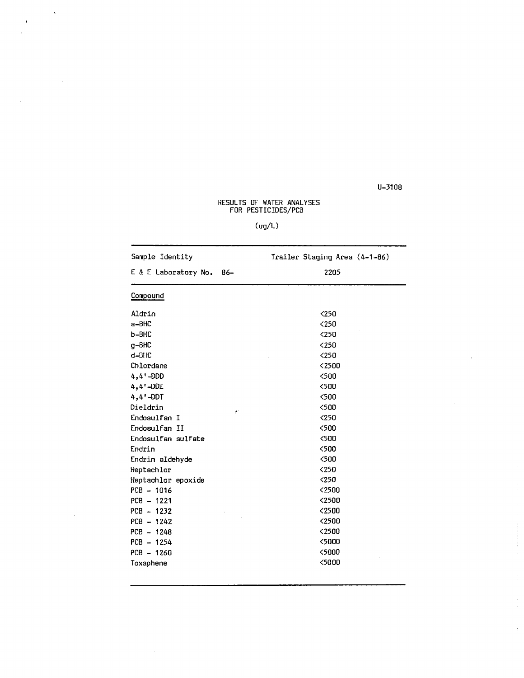$\sim$ 

 $\sigma$  is a sequence of  $\sigma$ 

 $\hat{\boldsymbol{\theta}}$ 

 $\frac{1}{3}$ 

#### RESULTS OF WATER ANALYSE FOR PESTICIDES/P

 $\hat{\mathbf{c}}$ 

 $\bar{z}$ 

 $\sim$ 

 $\bar{z}$ 

 $(ug/L)$ 

| Sample Identity                    | Trailer Staging Area (4-1-86) |
|------------------------------------|-------------------------------|
| E & E Laboratory No.<br>86–        | 2205                          |
| Compound                           |                               |
| Aldrin                             | $250$                         |
| a-BHC                              | $250$                         |
| b-BHC                              | $250$                         |
| q-BHC                              | $250$                         |
| d-BHC                              | $250$                         |
| Chlordane                          | $2500$                        |
| 4,4'-DDD                           | $500$                         |
| $4,4'$ -DDE                        | $<$ 500                       |
| $4,4'$ -DDT                        | <500                          |
| Dieldrin<br>$\mathcal{P}^{\prime}$ | $500$                         |
| Endosulfan I                       | $250$                         |
| Endosulfan II                      | $500$                         |
| Endosulfan sulfate                 | 500                           |
| Endrin                             | $500$                         |
| Endrin aldehyde                    | $500$                         |
| Heptachlor                         | $250$                         |
| Heptachlor epoxide                 | $250$                         |
| $PCB - 1016$                       | $2500$                        |
| PCB - 1221                         | <2500                         |
| PCB - 1232                         | $2500$                        |
| $PCB - 1242$                       | $2500$                        |
| PCB - 1248                         | $2500$                        |
| $PCB - 1254$                       | <5000                         |
| $PCB - 1260$                       | <5000                         |
| Toxaphene                          | <5000                         |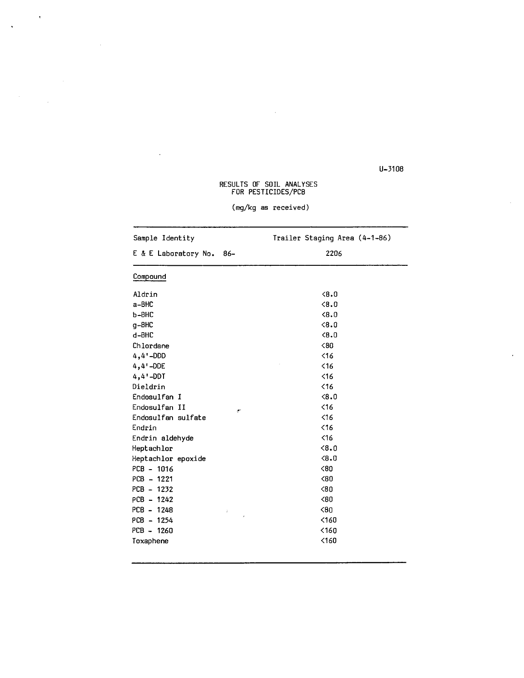$\hat{\mathcal{A}}$ 

 $\ddot{\phantom{0}}$ 

#### RESULTS OF SOIL ANALYSE FOR PESTICIDES/PCB

 $\bar{z}$ 

 $\hat{\mathbf{v}}$ 

 $\sim$ 

 $\ddot{\phantom{1}}$ 

 $\bar{\mathcal{A}}$ 

mg/kg as received

| Sample Identity              | Trailer Staging Area (4-1-86) |
|------------------------------|-------------------------------|
| E & E Laboratory No.<br>-86- | 2206                          |
| Compound                     |                               |
| Aldrin                       | $8.0$                         |
| a-BHC                        | $8.0$                         |
| b-BHC                        | < 8.0                         |
| q-BHC                        | < 8.0                         |
| d-BHC                        | 8.0                           |
| Chlordane                    | $80$                          |
| $4,4'$ -DDD                  | $16$                          |
| 4,4'-DDE                     | $16$                          |
| $4,4'$ -DDT                  | $16$                          |
| Dieldrin                     | $16$                          |
| Endosulfan I                 | < 8.0                         |
| Endosulfan II<br>العج        | $16$                          |
| Endosulfan sulfate           | $16$                          |
| Endrin                       | $16$                          |
| Endrin aldehyde              | $16$                          |
| Heptachlor                   | $8.0$                         |
| Heptachlor epoxide           | 8.0                           |
| PCB - 1016                   | $80$                          |
| PCB - 1221                   | $80$                          |
| PCB - 1232                   | $80$                          |
| PCB - 1242                   | $80$                          |
| PCB - 1248<br>ă.             | $\zeta$ 80                    |
| r<br>PCB - 1254              | $160$                         |
| PCB - 1260                   | $160$                         |
| Toxaphene                    | $160$                         |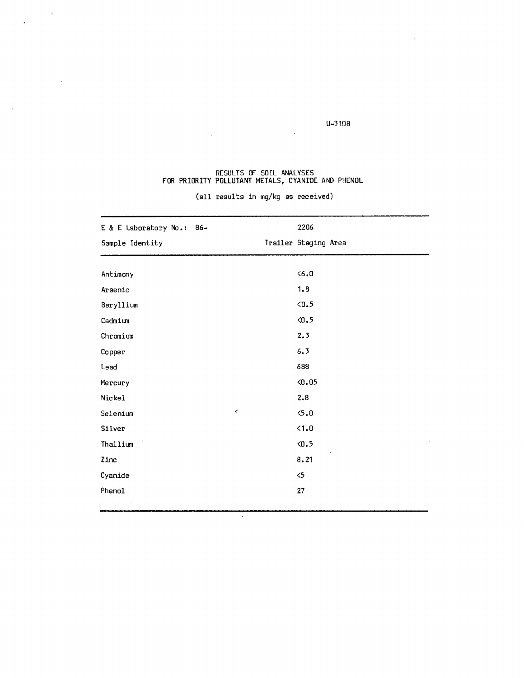$\mathcal{A}^{\mathcal{A}}$ 

# RESULTS OF SOIL ANALYSES<br>FOR PRIORITY POLLUTANT METALS, CYANIDE AND PHENO

 $\sim$   $\sim$ 

 $\label{eq:2.1} \frac{1}{\sqrt{2}}\int_{\mathbb{R}^3}\frac{1}{\sqrt{2}}\left(\frac{1}{\sqrt{2}}\right)^2\left(\frac{1}{\sqrt{2}}\right)^2\left(\frac{1}{\sqrt{2}}\right)^2\left(\frac{1}{\sqrt{2}}\right)^2\left(\frac{1}{\sqrt{2}}\right)^2.$ 

 $\frac{1}{\sqrt{2\pi}}\int_{0}^{\sqrt{2\pi}}\frac{dx}{\sqrt{2\pi}}\,dx$ 

 $\mathcal{A}^{\mathcal{A}}$ 

 $\sim$ 

| E & E Laboratory No.: 86- | 2206                 |
|---------------------------|----------------------|
| Sample Identity           | Trailer Staging Area |
|                           |                      |
| Antimony                  | $6.0$                |
| Arsenic                   | 1.8                  |
| Beryllium                 | < 0.5                |
| Cadmium                   | < 0.5                |
| Chromium                  | 2.3                  |
| Copper                    | 6.3                  |
| Lead                      | 688                  |
| Mercury                   | < 0.05               |
| Nickel                    | 2.8                  |
| $\tau$<br>Selenium        | 5.0                  |
| Silver                    | < 1.0                |
| Thallium                  | (0.5)                |
| Zinc                      | 8.21                 |
| Cyanide                   | $\langle 5$          |
| Phenol                    | 27                   |
|                           |                      |

 $\bar{\bar{z}}$ 

all results in mg/kg as received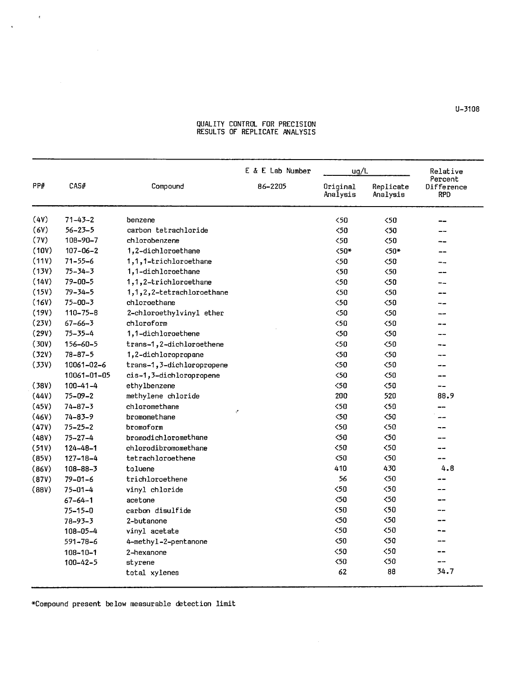#### QUALITY CONTROL FOR PRECISION RESULTS OF REPLICATE ANALYSI

|       |                |                           | E & E Lab Number | uq/L                 |                       | Relative                            |
|-------|----------------|---------------------------|------------------|----------------------|-----------------------|-------------------------------------|
| PP#   | CAS#           | Compound                  | 86-2205          | Original<br>Analysis | Replicate<br>Analysis | Percent<br>Difference<br><b>RPD</b> |
| (4V)  | $71 - 43 - 2$  | benzene                   |                  | $50$                 | $50$                  |                                     |
| (6V)  | $56 - 23 - 5$  | carbon tetrachloride      |                  | $50$                 | $50$                  |                                     |
| (7V)  | 108-90-7       | chlorobenzene             |                  | $50$                 | 50                    |                                     |
| (10V) | $107 - 06 - 2$ | 1,2-dichloroethane        |                  | $50*$                | $50*$                 |                                     |
| (11V) | $71 - 55 - 6$  | 1,1,1-trichloroethane     |                  | 50                   | 50                    |                                     |
| (13V) | $75 - 34 - 3$  | 1,1-dichloroethane        |                  | 50                   | $50$                  |                                     |
| (14V) | $79 - 00 - 5$  | 1,1,2-trichloroethane     |                  | 50 <sub>o</sub>      | $50$                  |                                     |
| (15V) | $79 - 34 - 5$  | 1,1,2,2-tetrachloroethane |                  | 50                   | $50$                  |                                     |
| (16V) | $75 - 00 - 3$  | chloroethane              |                  | 50                   | 50                    |                                     |
| (19V) | $110 - 75 - 8$ | 2-chloroethylvinyl ether  |                  | $50$                 | 50                    |                                     |
| (23V) | $67 - 66 - 3$  | chloroform                |                  | 50                   | $50$                  |                                     |
| (29V) | $75 - 35 - 4$  | 1,1-dichloroethene        |                  | 50                   | $50$                  |                                     |
| (30V) | $156 - 60 - 5$ | trans-1,2-dichloroethene  |                  | 50                   | 50                    |                                     |
| (32V) | $78 - 87 - 5$  | 1,2-dichloropropane       |                  | 50                   | 50                    | --                                  |
| (33V) | 10061-02-6     | trans-1,3-dichloropropene |                  | 50                   | 50 <sub>0</sub>       | --                                  |
|       | 10061-01-05    | cis-1,3-dichloropropene   |                  | 50                   | $50$                  |                                     |
| (38V) | $100 - 41 - 4$ | ethylbenzene              |                  | 50                   | $50$                  | --                                  |
| (44V) | $75 - 09 - 2$  | methylene chloride        |                  | 200                  | 520                   | 88.9                                |
| (45V) | $74 - 87 - 3$  | chloromethane             |                  | 50                   | 50                    | --                                  |
| (46V) | $74 - 83 - 9$  | bromomethane              | ð,               | 50                   | $50$                  | ---                                 |
| (47V) | $75 - 25 - 2$  | bromoform                 |                  | $50$                 | $50$                  |                                     |
| (48V) | $75 - 27 - 4$  | bromodichloromethane      |                  | 50                   | $50$                  |                                     |
| (51V) | $124 - 48 - 1$ | chlorodibromomethane      |                  | 50                   | $50$                  |                                     |
| (85V) | $127 - 18 - 4$ | tetrachloroethene         |                  | 50                   | $50$                  |                                     |
| (86V) | 108-88-3       | toluene                   |                  | 410                  | 430                   | 4.8                                 |
| (87V) | $79 - 01 - 6$  | trichloroethene           |                  | 56                   | $50$                  |                                     |
| (88V) | $75 - 01 - 4$  | vinyl chloride            |                  | $50$                 | <50                   | --                                  |
|       | $67 - 64 - 1$  | acetone                   |                  | $50$                 | $50$                  |                                     |
|       | $75 - 15 - 0$  | carbon disulfide          |                  | <50                  | 50                    |                                     |
|       | $78 - 93 - 3$  | 2-butanone                |                  | $50$                 | $50$                  |                                     |
|       | 108-05-4       | vinyl acetate             |                  | $50$                 | 50                    |                                     |
|       | $591 - 78 - 6$ | 4-methyl-2-pentanone      |                  | $50$                 | 50                    |                                     |
|       | $108 - 10 - 1$ | 2-hexanone                |                  | 50                   | 50                    |                                     |
|       | $100 - 42 - 5$ | styrene                   |                  | 50                   | 50                    |                                     |
|       |                | total xylenes             |                  | 62                   | 88                    | 34.7                                |

Compound present below measurable detection limit

 $\sim$   $\epsilon$ 

 $\sim$   $\alpha$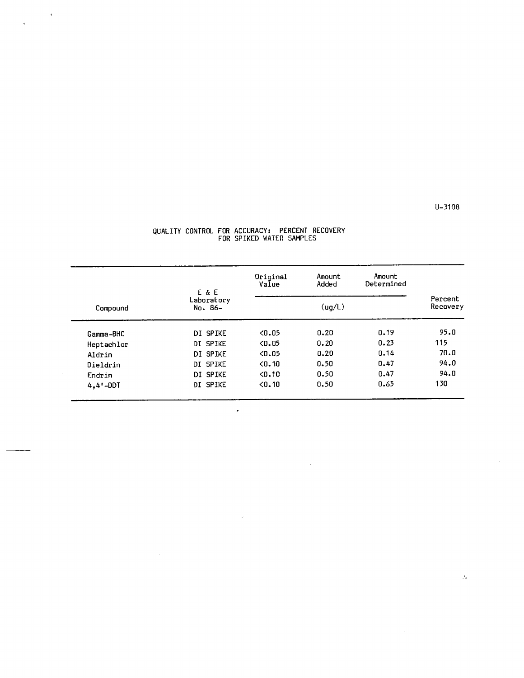#### QUALITY CONTROL FOR ACCURACY: PERCENT RECOVER FOR SPIKED WATER SAMPLE

 $\mathcal{C}^{\mathcal{C}}$ 

 $\sim 20$ 

 $\begin{array}{c} \mathbf{t} \\ \mathbf{t} \end{array}$ 

 $\sim$ 

|             | E & E                 | Original<br>Value | Amount<br>Added | Amount<br>Determined |                     |
|-------------|-----------------------|-------------------|-----------------|----------------------|---------------------|
| Compound    | Laboratory<br>No. 86- |                   | (ug/L)          |                      | Percent<br>Recovery |
| Gamma-BHC   | DI SPIKE              | $0.05$            | 0.20            | 0.19                 | 95.0                |
| Heptachlor  | DI SPIKE              | 50.05             | 0.20            | 0.23                 | 115                 |
| Aldrin      | DI SPIKE              | < 0.05            | 0.20            | 0.14                 | 70.0                |
| Dieldrin    | DI SPIKE              | $0.10$            | 0.50            | 0.47                 | 94.0                |
| Endrin      | DI SPIKE              | $0.10$            | 0.50            | 0.47                 | 94.0                |
| $4.4'$ -DDT | DI SPIKE              | $0.10$            | 0.50            | 0.65                 | 130                 |

 $\sim 10^{11}$  km  $^{-1}$ 

 $\Delta$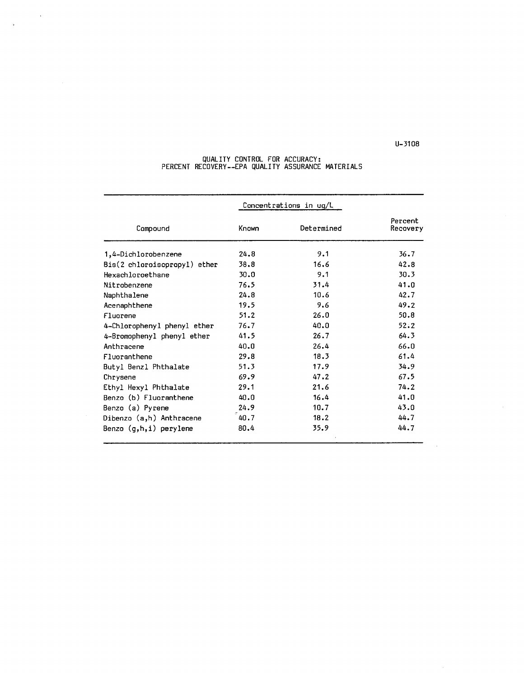$\bar{z}$ 

 $\sim$ 

|                              |       | Concentrations in ug/L |                     |  |
|------------------------------|-------|------------------------|---------------------|--|
| Compound                     | Known | Determined             | Percent<br>Recovery |  |
| 1,4-Dichlorobenzene          | 24.8  | 9.1                    | 36.7                |  |
| Bis(2 chloroisopropyl) ether | 38.8  | 16.6                   | 42.8                |  |
| Hexachloroethane             | 30.0  | 9.1                    | 30.3                |  |
| Nitrobenzene                 | 76.5  | 31.4                   | 41.0                |  |
| Naphthalene                  | 24.8  | 10.6                   | 42.7                |  |
| Acenaphthene                 | 19.5  | 9.6                    | 49.2                |  |
| Fluorene                     | 51.2  | 26.0                   | 50.8                |  |
| 4-Chlorophenyl phenyl ether  | 76.7  | 40.0                   | 52:2                |  |
| 4-Bromophenyl phenyl ether   | 41.5  | 26.7                   | 64.3                |  |
| Anthracene                   | 40.0  | 26.4                   | 66.0                |  |
| <b>Fluoranthene</b>          | 29.8  | 18.3                   | 61.4                |  |
| Butyl Benzl Phthalate        | 51.3  | 17.9                   | 34.9                |  |
| Chrysene                     | 69.9  | 47.2                   | 67.5                |  |
| Ethyl Hexyl Phthalate        | 29.1  | 21.6                   | 74.2                |  |
| Benzo (b) Fluoranthene       | 40.0  | 16.4                   | 41.0                |  |
| Benzo (a) Pyrene             | 24.9  | 10.7                   | 43.0                |  |
| Dibenzo (a,h) Anthracene     | 40.7  | 18.2                   | 44.7                |  |
| Benzo (q,h,i) perylene       | 80.4  | 35.9                   | 44.7                |  |

## QUALITY CONTROL FOR ACCURACY:<br>PERCENT RECOVERY--EPA QUALITY ASSURANCE MATERIAL!

 $\sim 10^6$ 

 $\sim$   $\lambda$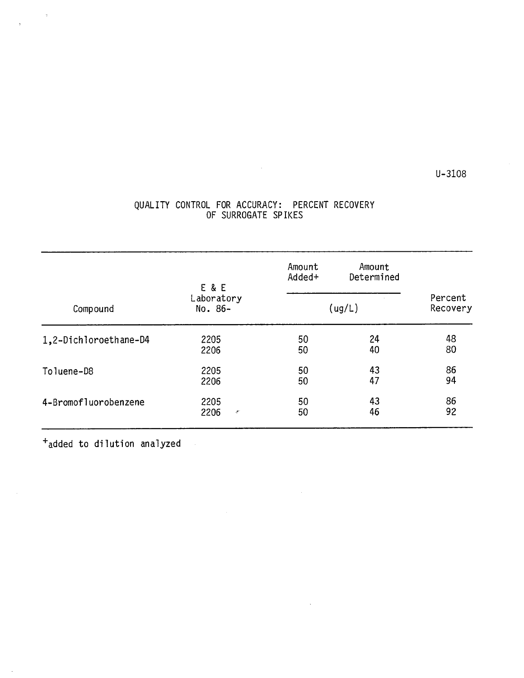-3108

## QUALITY CONTROL FOR ACCURACY: PERCENT RECOVER OF SURROGATE SPIKE

 $\sim 10^{-1}$ 

|                       | E & E                                       | Amount<br>Added+ | Amount<br>Determined |          |  |
|-----------------------|---------------------------------------------|------------------|----------------------|----------|--|
| Compound              | Laboratory<br>No. 86-                       | (ug/L)           | Percent<br>Recovery  |          |  |
| 1,2-Dichloroethane-D4 | 2205<br>2206                                | 50<br>50         | 24<br>40             | 48<br>80 |  |
| Toluene-D8            | 2205<br>2206                                | 50<br>50         | 43<br>47             | 86<br>94 |  |
| 4-Bromofluorobenzene  | 2205<br>2206<br>$\mathcal{L}^{\mathcal{M}}$ | 50<br>50         | 43<br>46             | 86<br>92 |  |

 $\bar{\lambda}$ 

added to dilution analyzed

 $\sim$ 

 $\sim$  3.